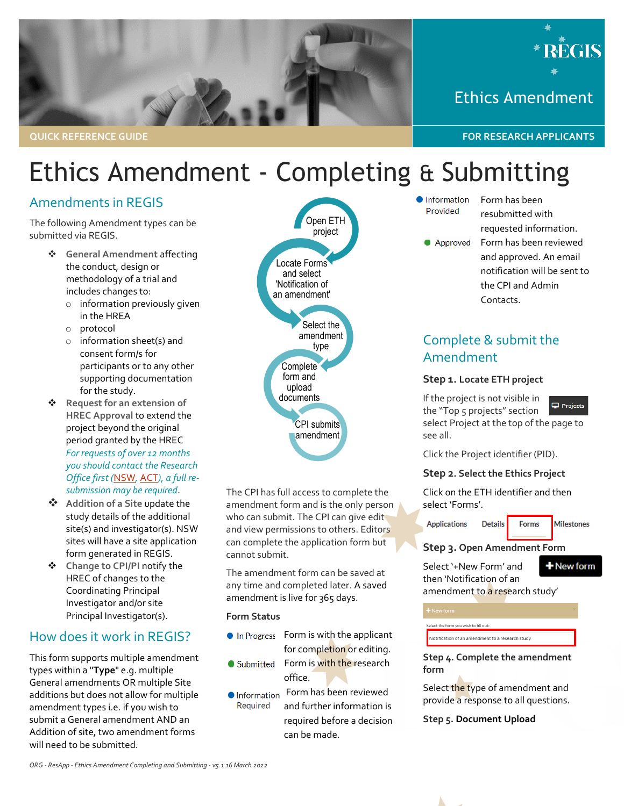



Ethics Amendment

# Ethics Amendment - Completing & Submitting

### Amendments in REGIS

The following Amendment types can be submitted via REGIS.

- **General Amendment** affecting the conduct, design or methodology of a trial and includes changes to:
	- o information previously given in the HREA
	- o protocol
	- o information sheet(s) and consent form/s for participants or to any other supporting documentation for the study.
- **Request for an extension of HREC Approval** to extend the project beyond the original period granted by the HREC *For requests of over 12 months you should contact the Research Office first (*[NSW](https://www.medicalresearch.nsw.gov.au/ethics-governance-contacts/)*,* [ACT](https://health.act.gov.au/research/centre-health-and-medical-research)*), a full resubmission may be required*.
- **Addition of a Site** update the study details of the additional site(s) and investigator(s). NSW sites will have a site application form generated in REGIS.
- **Change to CPI/PI** notify the HREC of changes to the Coordinating Principal Investigator and/or site Principal Investigator(s).

### How does it work in REGIS?

This form supports multiple amendment types within a "**Type**" e.g. multiple General amendments OR multiple Site additions but does not allow for multiple amendment types i.e. if you wish to submit a General amendment AND an Addition of site, two amendment forms will need to be submitted.



The CPI has full access to complete the amendment form and is the only person who can submit. The CPI can give edit and view permissions to others. Editors can complete the application form but cannot submit.

The amendment form can be saved at any time and completed later. A saved amendment is live for 365 days.

**Form Status**

- **•** In Progress Form is with the applicant for completion or editing.
- Submitted Form is with the research office.
- **O** Information Form has been reviewed Required and further information is required before a decision can be made.
- Information Provided
- Form has been resubmitted with
- Approved

requested information. Form has been reviewed and approved. An email notification will be sent to the CPI and Admin Contacts.

### Complete & submit the Amendment

#### **Step 1. Locate ETH project**

If the project is not visible in the "Top 5 projects" section select Project at the top of the page to see all.



Click the Project identifier (PID).

### **Step 2. Select the Ethics Project**

Click on the ETH identifier and then select 'Forms'.

Forms

**Applications Details**  **Milestones** 

**Step 3. Open Amendment Form**

Select '+New Form' and then 'Notification of an

+ New form

amendment to a research study'

Select the form you wish to fill out:

Notification of an amendment to a research study

**Step 4. Complete the amendment form**

Select the type of amendment and provide a response to all questions.

**Step 5. Document Upload**

*QRG - ResApp - Ethics Amendment Completing and Submitting - v5.1 16 March 2022*